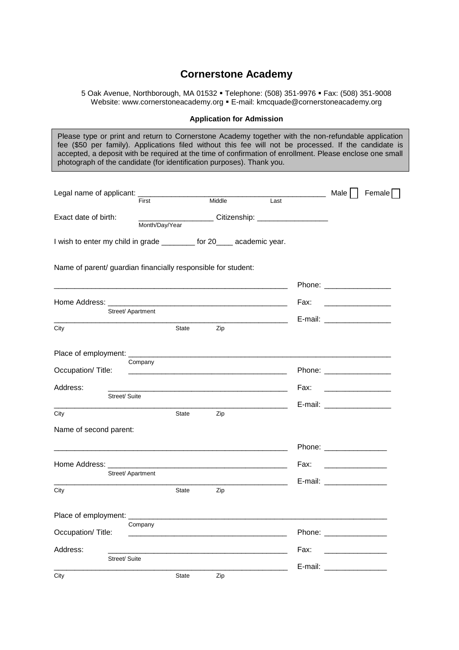## **Cornerstone Academy**

5 Oak Avenue, Northborough, MA 01532 Telephone: (508) 351-9976 Fax: (508) 351-9008 Website: www.cornerstoneacademy.org . E-mail: kmcquade@cornerstoneacademy.org

## **Application for Admission**

Please type or print and return to Cornerstone Academy together with the non-refundable application fee (\$50 per family). Applications filed without this fee will not be processed. If the candidate is accepted, a deposit with be required at the time of confirmation of enrollment. Please enclose one small photograph of the candidate (for identification purposes). Thank you.

| Legal name of applicant:                                              |                                                                                                                  |              |        |                                                                                                                       |      |      | Male                                     | Female |
|-----------------------------------------------------------------------|------------------------------------------------------------------------------------------------------------------|--------------|--------|-----------------------------------------------------------------------------------------------------------------------|------|------|------------------------------------------|--------|
|                                                                       | First                                                                                                            |              | Middle |                                                                                                                       | Last |      |                                          |        |
| Exact date of birth:                                                  | Month/Day/Year                                                                                                   |              |        | Citizenship: ____________________                                                                                     |      |      |                                          |        |
| I wish to enter my child in grade _________ for 20____ academic year. |                                                                                                                  |              |        |                                                                                                                       |      |      |                                          |        |
| Name of parent/ guardian financially responsible for student:         |                                                                                                                  |              |        |                                                                                                                       |      |      |                                          |        |
|                                                                       |                                                                                                                  |              |        |                                                                                                                       |      |      | Phone: _____________                     |        |
| Home Address: _____                                                   |                                                                                                                  |              |        |                                                                                                                       |      | Fax: |                                          |        |
|                                                                       | Street/ Apartment                                                                                                |              |        |                                                                                                                       |      |      |                                          |        |
| City                                                                  |                                                                                                                  | State        | Zip    |                                                                                                                       |      |      | E-mail: ____________________             |        |
|                                                                       |                                                                                                                  |              |        |                                                                                                                       |      |      |                                          |        |
| Occupation/Title:                                                     | Company                                                                                                          |              |        | <u> 1989 - Jan James James James James James James James James James James James James James James James James Ja</u> |      |      |                                          |        |
| Address:                                                              |                                                                                                                  |              |        |                                                                                                                       |      | Fax: |                                          |        |
| Street/ Suite                                                         |                                                                                                                  |              |        |                                                                                                                       |      |      | E-mail: ___________________              |        |
| City                                                                  |                                                                                                                  | State        | Zip    | the control of the control of the control of                                                                          |      |      |                                          |        |
| Name of second parent:                                                |                                                                                                                  |              |        |                                                                                                                       |      |      |                                          |        |
|                                                                       | and the control of the control of the control of the control of the control of the control of the control of the |              |        |                                                                                                                       |      |      | Phone: ________________                  |        |
| Home Address:                                                         |                                                                                                                  |              |        |                                                                                                                       |      | Fax: | <u> 1989 - Johann Harry Barn, mars a</u> |        |
|                                                                       | Street/ Apartment                                                                                                |              |        |                                                                                                                       |      |      | E-mail: E-mail:                          |        |
| City                                                                  |                                                                                                                  | State        | Zip    |                                                                                                                       |      |      |                                          |        |
| Place of employment: _________                                        |                                                                                                                  |              |        |                                                                                                                       |      |      |                                          |        |
| Occupation/Title:                                                     | Company                                                                                                          |              |        |                                                                                                                       |      |      | Phone: _______________                   |        |
| Address:                                                              |                                                                                                                  |              |        |                                                                                                                       |      | Fax: |                                          |        |
| Street/ Suite                                                         |                                                                                                                  |              |        |                                                                                                                       |      |      | E-mail: E-mail:                          |        |
| City                                                                  |                                                                                                                  | <b>State</b> | Zip    |                                                                                                                       |      |      |                                          |        |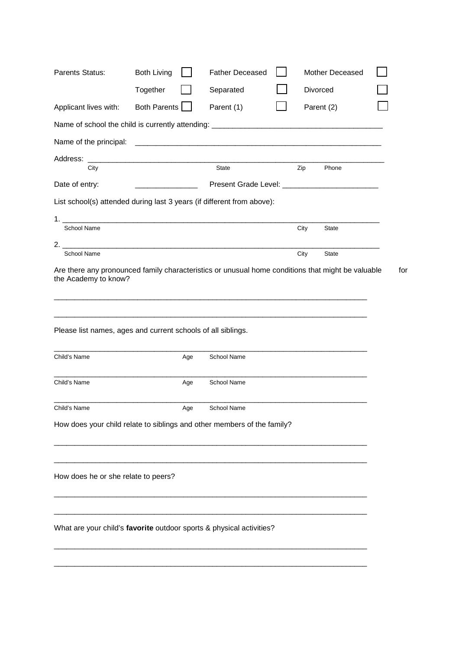| Parents Status:                                                         | <b>Both Living</b>                      |     | <b>Father Deceased</b>                                                                                           |      | Mother Deceased |  |
|-------------------------------------------------------------------------|-----------------------------------------|-----|------------------------------------------------------------------------------------------------------------------|------|-----------------|--|
|                                                                         | Together                                |     | Separated                                                                                                        |      | Divorced        |  |
| Applicant lives with:                                                   | Both Parents                            |     | Parent (1)                                                                                                       |      | Parent (2)      |  |
|                                                                         |                                         |     |                                                                                                                  |      |                 |  |
| Name of the principal:                                                  |                                         |     | and the control of the control of the control of the control of the control of the control of the control of the |      |                 |  |
| Address:                                                                |                                         |     |                                                                                                                  |      |                 |  |
| City                                                                    |                                         |     | State                                                                                                            | Zip  | Phone           |  |
| Date of entry:                                                          | <u> 1990 - Johann Barbara, martxa a</u> |     |                                                                                                                  |      |                 |  |
| List school(s) attended during last 3 years (if different from above):  |                                         |     |                                                                                                                  |      |                 |  |
| <b>School Name</b>                                                      |                                         |     |                                                                                                                  | City | State           |  |
|                                                                         |                                         |     |                                                                                                                  |      |                 |  |
| <b>School Name</b>                                                      |                                         |     |                                                                                                                  | City | State           |  |
| Please list names, ages and current schools of all siblings.            |                                         |     |                                                                                                                  |      |                 |  |
| Child's Name                                                            |                                         | Age | School Name                                                                                                      |      |                 |  |
| Child's Name                                                            |                                         | Age | School Name                                                                                                      |      |                 |  |
| Child's Name                                                            |                                         | Age | School Name                                                                                                      |      |                 |  |
| How does your child relate to siblings and other members of the family? |                                         |     |                                                                                                                  |      |                 |  |
| How does he or she relate to peers?                                     |                                         |     |                                                                                                                  |      |                 |  |
| What are your child's favorite outdoor sports & physical activities?    |                                         |     |                                                                                                                  |      |                 |  |
|                                                                         |                                         |     |                                                                                                                  |      |                 |  |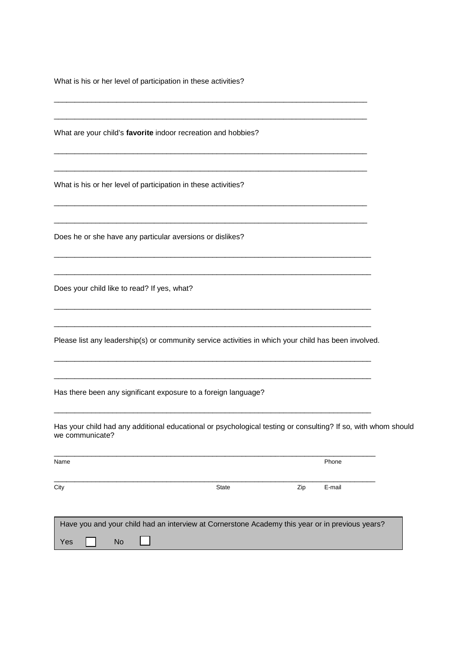What is his or her level of participation in these activities?

What are your child's **favorite** indoor recreation and hobbies?

What is his or her level of participation in these activities?

Does he or she have any particular aversions or dislikes?

Does your child like to read? If yes, what?

Please list any leadership(s) or community service activities in which your child has been involved.

\_\_\_\_\_\_\_\_\_\_\_\_\_\_\_\_\_\_\_\_\_\_\_\_\_\_\_\_\_\_\_\_\_\_\_\_\_\_\_\_\_\_\_\_\_\_\_\_\_\_\_\_\_\_\_\_\_\_\_\_\_\_\_\_\_\_\_\_\_\_\_\_\_\_\_

\_\_\_\_\_\_\_\_\_\_\_\_\_\_\_\_\_\_\_\_\_\_\_\_\_\_\_\_\_\_\_\_\_\_\_\_\_\_\_\_\_\_\_\_\_\_\_\_\_\_\_\_\_\_\_\_\_\_\_\_\_\_\_\_\_\_\_\_\_\_\_\_\_\_\_

\_\_\_\_\_\_\_\_\_\_\_\_\_\_\_\_\_\_\_\_\_\_\_\_\_\_\_\_\_\_\_\_\_\_\_\_\_\_\_\_\_\_\_\_\_\_\_\_\_\_\_\_\_\_\_\_\_\_\_\_\_\_\_\_\_\_\_\_\_\_\_\_\_\_\_

\_\_\_\_\_\_\_\_\_\_\_\_\_\_\_\_\_\_\_\_\_\_\_\_\_\_\_\_\_\_\_\_\_\_\_\_\_\_\_\_\_\_\_\_\_\_\_\_\_\_\_\_\_\_\_\_\_\_\_\_\_\_\_\_\_\_\_\_\_\_\_\_\_\_\_

\_\_\_\_\_\_\_\_\_\_\_\_\_\_\_\_\_\_\_\_\_\_\_\_\_\_\_\_\_\_\_\_\_\_\_\_\_\_\_\_\_\_\_\_\_\_\_\_\_\_\_\_\_\_\_\_\_\_\_\_\_\_\_\_\_\_\_\_\_\_\_\_\_\_\_

\_\_\_\_\_\_\_\_\_\_\_\_\_\_\_\_\_\_\_\_\_\_\_\_\_\_\_\_\_\_\_\_\_\_\_\_\_\_\_\_\_\_\_\_\_\_\_\_\_\_\_\_\_\_\_\_\_\_\_\_\_\_\_\_\_\_\_\_\_\_\_\_\_\_\_

\_\_\_\_\_\_\_\_\_\_\_\_\_\_\_\_\_\_\_\_\_\_\_\_\_\_\_\_\_\_\_\_\_\_\_\_\_\_\_\_\_\_\_\_\_\_\_\_\_\_\_\_\_\_\_\_\_\_\_\_\_\_\_\_\_\_\_\_\_\_\_\_\_\_\_\_

\_\_\_\_\_\_\_\_\_\_\_\_\_\_\_\_\_\_\_\_\_\_\_\_\_\_\_\_\_\_\_\_\_\_\_\_\_\_\_\_\_\_\_\_\_\_\_\_\_\_\_\_\_\_\_\_\_\_\_\_\_\_\_\_\_\_\_\_\_\_\_\_\_\_\_\_

\_\_\_\_\_\_\_\_\_\_\_\_\_\_\_\_\_\_\_\_\_\_\_\_\_\_\_\_\_\_\_\_\_\_\_\_\_\_\_\_\_\_\_\_\_\_\_\_\_\_\_\_\_\_\_\_\_\_\_\_\_\_\_\_\_\_\_\_\_\_\_\_\_\_\_\_

\_\_\_\_\_\_\_\_\_\_\_\_\_\_\_\_\_\_\_\_\_\_\_\_\_\_\_\_\_\_\_\_\_\_\_\_\_\_\_\_\_\_\_\_\_\_\_\_\_\_\_\_\_\_\_\_\_\_\_\_\_\_\_\_\_\_\_\_\_\_\_\_\_\_\_\_

\_\_\_\_\_\_\_\_\_\_\_\_\_\_\_\_\_\_\_\_\_\_\_\_\_\_\_\_\_\_\_\_\_\_\_\_\_\_\_\_\_\_\_\_\_\_\_\_\_\_\_\_\_\_\_\_\_\_\_\_\_\_\_\_\_\_\_\_\_\_\_\_\_\_\_\_

\_\_\_\_\_\_\_\_\_\_\_\_\_\_\_\_\_\_\_\_\_\_\_\_\_\_\_\_\_\_\_\_\_\_\_\_\_\_\_\_\_\_\_\_\_\_\_\_\_\_\_\_\_\_\_\_\_\_\_\_\_\_\_\_\_\_\_\_\_\_\_\_\_\_\_\_

\_\_\_\_\_\_\_\_\_\_\_\_\_\_\_\_\_\_\_\_\_\_\_\_\_\_\_\_\_\_\_\_\_\_\_\_\_\_\_\_\_\_\_\_\_\_\_\_\_\_\_\_\_\_\_\_\_\_\_\_\_\_\_\_\_\_\_\_\_\_\_\_\_\_\_\_

Has there been any significant exposure to a foreign language?

Has your child had any additional educational or psychological testing or consulting? If so, with whom should we communicate?

| Name             |                                                                                                 |     | Phone  |
|------------------|-------------------------------------------------------------------------------------------------|-----|--------|
| City             | <b>State</b>                                                                                    | Zip | E-mail |
|                  | Have you and your child had an interview at Cornerstone Academy this year or in previous years? |     |        |
| Yes<br><b>No</b> |                                                                                                 |     |        |